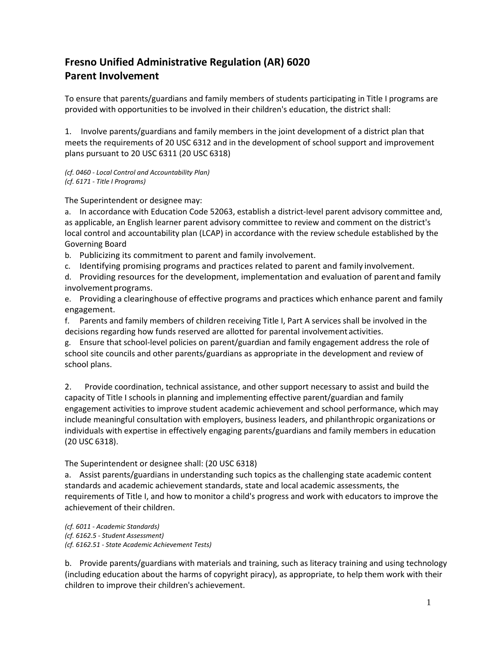## **Fresno Unified Administrative Regulation (AR) 6020 Parent Involvement**

To ensure that parents/guardians and family members of students participating in Title I programs are provided with opportunities to be involved in their children's education, the district shall:

1. Involve parents/guardians and family members in the joint development of a district plan that meets the requirements of 20 USC 6312 and in the development of school support and improvement plans pursuant to 20 USC 6311 (20 USC 6318)

*(cf. 0460 - Local Control and Accountability Plan) (cf. 6171 - Title I Programs)*

The Superintendent or designee may:

a. In accordance with Education Code 52063, establish a district-level parent advisory committee and, as applicable, an English learner parent advisory committee to review and comment on the district's local control and accountability plan (LCAP) in accordance with the review schedule established by the Governing Board

b. Publicizing its commitment to parent and family involvement.

c. Identifying promising programs and practices related to parent and family involvement.

d. Providing resources for the development, implementation and evaluation of parentand family involvement programs.

e. Providing a clearinghouse of effective programs and practices which enhance parent and family engagement.

f. Parents and family members of children receiving Title I, Part A services shall be involved in the decisions regarding how funds reserved are allotted for parental involvement activities.

g. Ensure that school-level policies on parent/guardian and family engagement address the role of school site councils and other parents/guardians as appropriate in the development and review of school plans.

2. Provide coordination, technical assistance, and other support necessary to assist and build the capacity of Title I schools in planning and implementing effective parent/guardian and family engagement activities to improve student academic achievement and school performance, which may include meaningful consultation with employers, business leaders, and philanthropic organizations or individuals with expertise in effectively engaging parents/guardians and family members in education (20 USC 6318).

The Superintendent or designee shall: (20 USC 6318)

a. Assist parents/guardians in understanding such topics as the challenging state academic content standards and academic achievement standards, state and local academic assessments, the requirements of Title I, and how to monitor a child's progress and work with educators to improve the achievement of their children.

*(cf. 6011 - Academic Standards) (cf. 6162.5 - Student Assessment) (cf. 6162.51 - State Academic Achievement Tests)*

b. Provide parents/guardians with materials and training, such as literacy training and using technology (including education about the harms of copyright piracy), as appropriate, to help them work with their children to improve their children's achievement.